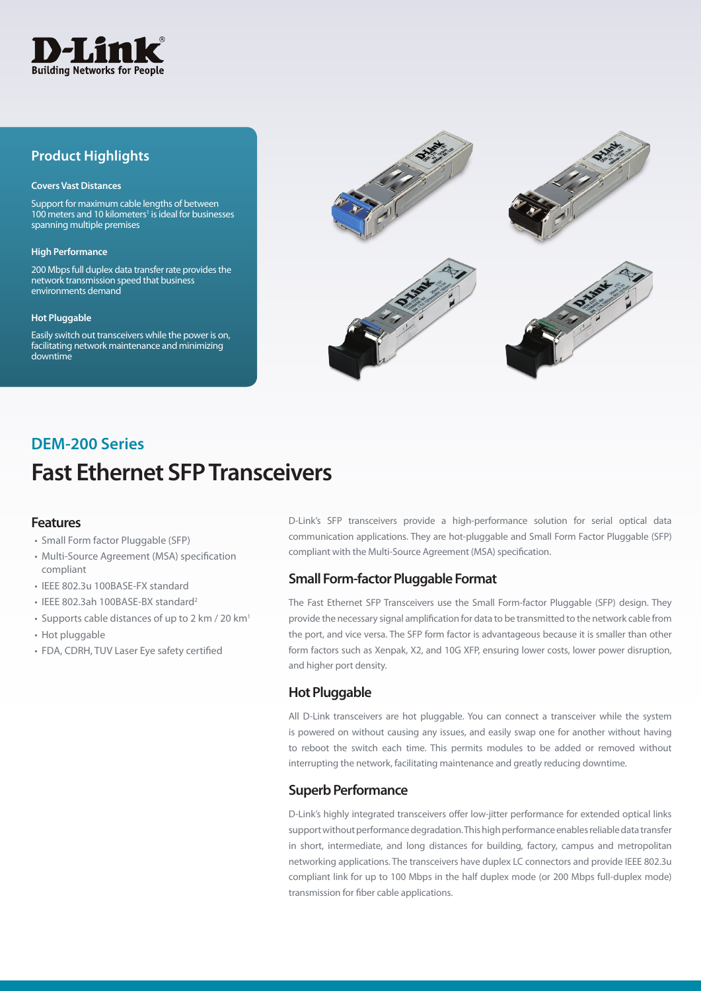

## **Product Highlights**

#### **Covers Vast Distances**

Support for maximum cable lengths of between 100 meters and 10 kilometers<sup>1</sup> is ideal for businesses spanning multiple premises

#### **High Performance**

200 Mbps full duplex data transfer rate provides the network transmission speed that business environments demand

#### **Hot Pluggable**

Easily switch out transceivers while the power is on, facilitating network maintenance and minimizing downtime



# **Fast Ethernet SFP Transceivers DEM-200 Series**

### **Features**

- Small Form factor Pluggable (SFP)
- Multi-Source Agreement (MSA) specification compliant
- IEEE 802.3u 100BASE-FX standard
- IEEE 802.3ah 100BASE-BX standard2
- Supports cable distances of up to 2 km / 20  $km<sup>1</sup>$
- Hot pluggable
- FDA, CDRH, TUV Laser Eye safety certified

D-Link's SFP transceivers provide a high-performance solution for serial optical data communication applications. They are hot-pluggable and Small Form Factor Pluggable (SFP) compliant with the Multi-Source Agreement (MSA) specification.

## **Small Form-factor Pluggable Format**

The Fast Ethernet SFP Transceivers use the Small Form-factor Pluggable (SFP) design. They provide the necessary signal amplification for data to be transmitted to the network cable from the port, and vice versa. The SFP form factor is advantageous because it is smaller than other form factors such as Xenpak, X2, and 10G XFP, ensuring lower costs, lower power disruption, and higher port density.

### **Hot Pluggable**

All D-Link transceivers are hot pluggable. You can connect a transceiver while the system is powered on without causing any issues, and easily swap one for another without having to reboot the switch each time. This permits modules to be added or removed without interrupting the network, facilitating maintenance and greatly reducing downtime.

### **Superb Performance**

D-Link's highly integrated transceivers offer low-jitter performance for extended optical links support without performance degradation. This high performance enables reliable data transfer in short, intermediate, and long distances for building, factory, campus and metropolitan networking applications. The transceivers have duplex LC connectors and provide IEEE 802.3u compliant link for up to 100 Mbps in the half duplex mode (or 200 Mbps full-duplex mode) transmission for fiber cable applications.